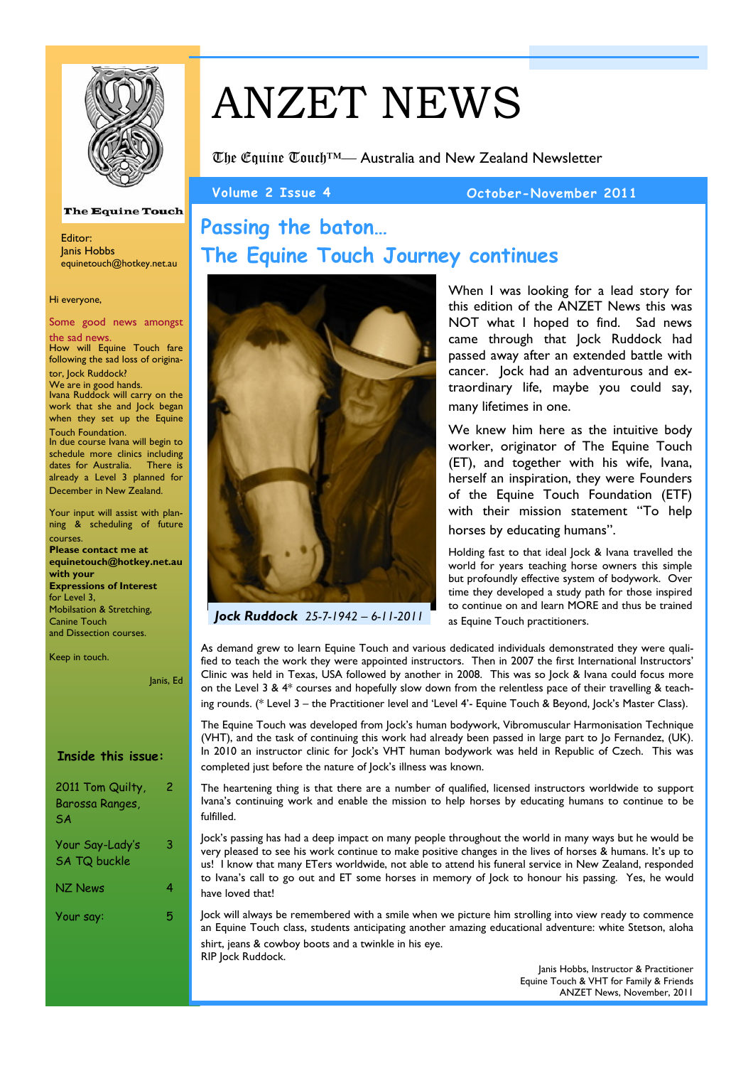

# ANZET NEWS

**The Equine Touch Journey continues**

The Equine Touch™— Australia and New Zealand Newsletter

**Passing the baton…** 

### **Volume 2 Issue 4 October-November 2011**

#### **The Equine Touch**

Editor: Janis Hobbs equinetouch@hotkey.net.au

#### Hi everyone,

Some good news amongst

the sad news. How will Equine Touch fare following the sad loss of originator, Jock Ruddock?

We are in good hands.

Ivana Ruddock will carry on the work that she and Jock began when they set up the Equine Touch Foundation.

In due course Ivana will begin to schedule more clinics including dates for Australia. There is already a Level 3 planned for December in New Zealand.

Your input will assist with planning & scheduling of future courses.

**Please contact me at equinetouch@hotkey.net.au with your Expressions of Interest**  for Level 3, Mobilsation & Stretching, Canine Touch and Dissection courses.

Keep in touch.

Janis, Ed

#### **Inside this issue:**

2011 Tom Quilty, Barossa Ranges, SA 2 Your Say-Lady's SA TQ buckle 3 NZ News 4

Your say: 5



*Jock Ruddock 25-7-1942 – 6-11-2011*

When I was looking for a lead story for this edition of the ANZET News this was NOT what I hoped to find. Sad news came through that Jock Ruddock had passed away after an extended battle with cancer. Jock had an adventurous and extraordinary life, maybe you could say, many lifetimes in one.

We knew him here as the intuitive body worker, originator of The Equine Touch (ET), and together with his wife, Ivana, herself an inspiration, they were Founders of the Equine Touch Foundation (ETF) with their mission statement "To help horses by educating humans".

Holding fast to that ideal Jock & Ivana travelled the world for years teaching horse owners this simple but profoundly effective system of bodywork. Over time they developed a study path for those inspired to continue on and learn MORE and thus be trained as Equine Touch practitioners.

As demand grew to learn Equine Touch and various dedicated individuals demonstrated they were qualified to teach the work they were appointed instructors. Then in 2007 the first International Instructors' Clinic was held in Texas, USA followed by another in 2008. This was so Jock & Ivana could focus more on the Level 3 &  $4*$  courses and hopefully slow down from the relentless pace of their travelling & teaching rounds. (\* Level 3 – the Practitioner level and 'Level 4'- Equine Touch & Beyond, Jock's Master Class).

The Equine Touch was developed from Jock's human bodywork, Vibromuscular Harmonisation Technique (VHT), and the task of continuing this work had already been passed in large part to Jo Fernandez, (UK). In 2010 an instructor clinic for Jock's VHT human bodywork was held in Republic of Czech. This was completed just before the nature of Jock's illness was known.

The heartening thing is that there are a number of qualified, licensed instructors worldwide to support Ivana's continuing work and enable the mission to help horses by educating humans to continue to be fulfilled.

Jock's passing has had a deep impact on many people throughout the world in many ways but he would be very pleased to see his work continue to make positive changes in the lives of horses & humans. It's up to us! I know that many ETers worldwide, not able to attend his funeral service in New Zealand, responded to Ivana's call to go out and ET some horses in memory of Jock to honour his passing. Yes, he would have loved that!

Jock will always be remembered with a smile when we picture him strolling into view ready to commence an Equine Touch class, students anticipating another amazing educational adventure: white Stetson, aloha shirt, jeans & cowboy boots and a twinkle in his eye. RIP Jock Ruddock.

Janis Hobbs, Instructor & Practitioner Equine Touch & VHT for Family & Friends ANZET News, November, 2011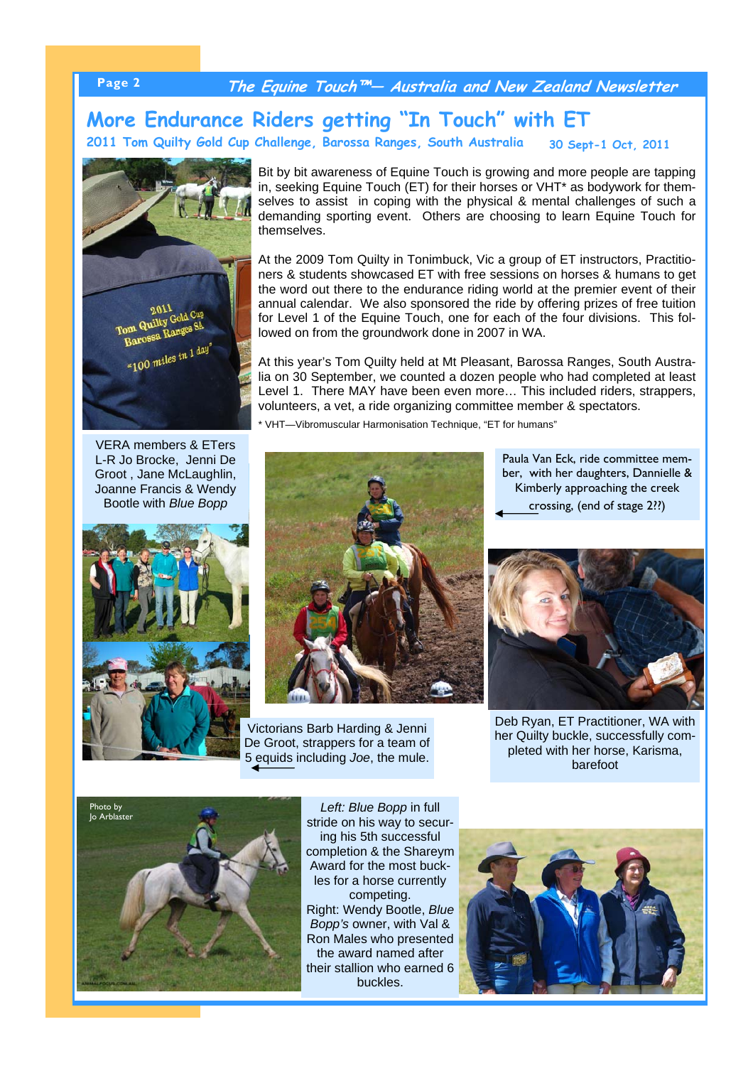### **Page 2 The Equine Touch™— Australia and New Zealand Newsletter**

#### **30 Sept-1 Oct, 2011 More Endurance Riders getting "In Touch" with ET 2011 Tom Quilty Gold Cup Challenge, Barossa Ranges, South Australia**

2011<br>Tom Quilty Gold Cup<br>Rarossa Ranges SA DIL Quilty Gold on garossentiles in 1 day"

VERA members & ETers L-R Jo Brocke, Jenni De Groot , Jane McLaughlin, Joanne Francis & Wendy Bootle with *Blue Bopp*



Bit by bit awareness of Equine Touch is growing and more people are tapping in, seeking Equine Touch (ET) for their horses or VHT\* as bodywork for themselves to assist in coping with the physical & mental challenges of such a demanding sporting event. Others are choosing to learn Equine Touch for themselves.

At the 2009 Tom Quilty in Tonimbuck, Vic a group of ET instructors, Practitioners & students showcased ET with free sessions on horses & humans to get the word out there to the endurance riding world at the premier event of their annual calendar. We also sponsored the ride by offering prizes of free tuition for Level 1 of the Equine Touch, one for each of the four divisions. This followed on from the groundwork done in 2007 in WA.

At this year's Tom Quilty held at Mt Pleasant, Barossa Ranges, South Australia on 30 September, we counted a dozen people who had completed at least Level 1. There MAY have been even more… This included riders, strappers, volunteers, a vet, a ride organizing committee member & spectators.

VHT—Vibromuscular Harmonisation Technique, "ET for humans"



Victorians Barb Harding & Jenni De Groot, strappers for a team of 5 equids including *Joe*, the mule.

Paula Van Eck, ride committee member, with her daughters, Dannielle & Kimberly approaching the creek crossing, (end of stage 2??)



Deb Ryan, ET Practitioner, WA with her Quilty buckle, successfully completed with her horse, Karisma, barefoot



Left: Blue Bopp in full stride on his way to securing his 5th successful completion & the Shareym Award for the most buckles for a horse currently competing. Right: Wendy Bootle, *Blue Bopp's* owner, with Val & Ron Males who presented the award named after their stallion who earned 6 buckles.

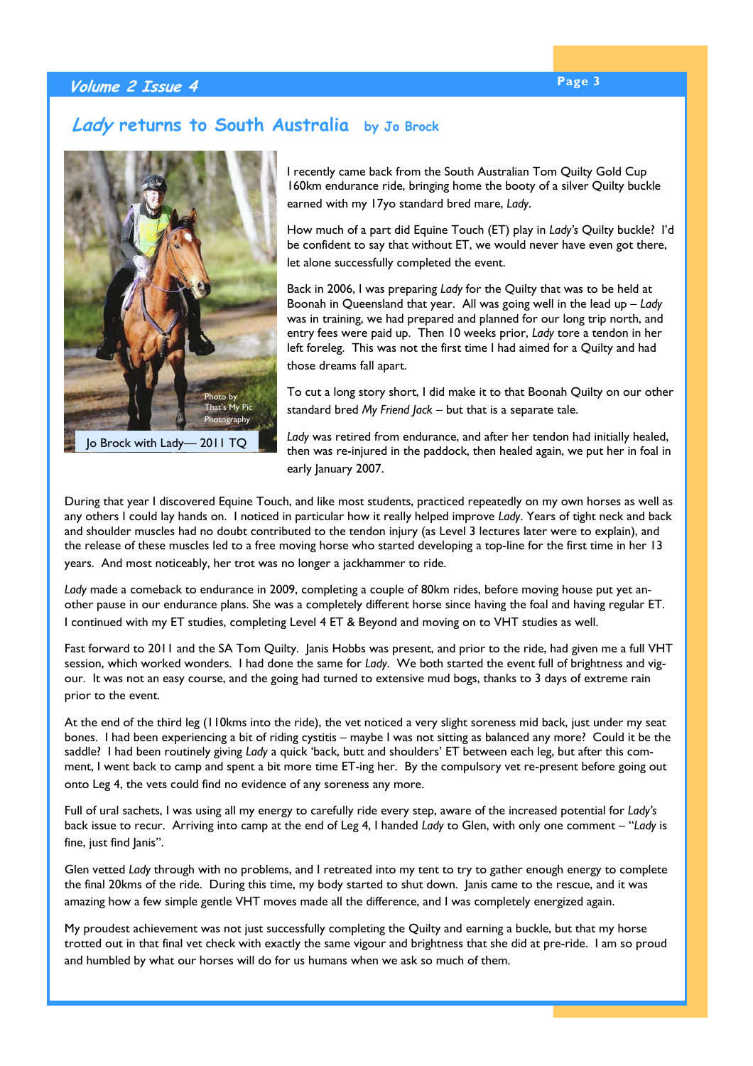### **Page 3 Volume 2 Issue 4**

### **Lady returns to South Australia by Jo Brock**



Jo Brock with Lady— 2011 TQ

I recently came back from the South Australian Tom Quilty Gold Cup 160km endurance ride, bringing home the booty of a silver Quilty buckle earned with my 17yo standard bred mare, *Lady*.

How much of a part did Equine Touch (ET) play in *Lady's* Quilty buckle? I'd be confident to say that without ET, we would never have even got there, let alone successfully completed the event.

Back in 2006, I was preparing *Lady* for the Quilty that was to be held at Boonah in Queensland that year. All was going well in the lead up – *Lady* was in training, we had prepared and planned for our long trip north, and entry fees were paid up. Then 10 weeks prior, *Lady* tore a tendon in her left foreleg. This was not the first time I had aimed for a Quilty and had those dreams fall apart.

To cut a long story short, I did make it to that Boonah Quilty on our other standard bred *My Friend Jack* – but that is a separate tale.

*Lady* was retired from endurance, and after her tendon had initially healed, then was re-injured in the paddock, then healed again, we put her in foal in early lanuary 2007.

During that year I discovered Equine Touch, and like most students, practiced repeatedly on my own horses as well as any others I could lay hands on. I noticed in particular how it really helped improve *Lady*. Years of tight neck and back and shoulder muscles had no doubt contributed to the tendon injury (as Level 3 lectures later were to explain), and the release of these muscles led to a free moving horse who started developing a top-line for the first time in her 13

years. And most noticeably, her trot was no longer a jackhammer to ride.

*Lady* made a comeback to endurance in 2009, completing a couple of 80km rides, before moving house put yet another pause in our endurance plans. She was a completely different horse since having the foal and having regular ET. I continued with my ET studies, completing Level 4 ET & Beyond and moving on to VHT studies as well.

Fast forward to 2011 and the SA Tom Quilty. Janis Hobbs was present, and prior to the ride, had given me a full VHT session, which worked wonders. I had done the same for *Lady*. We both started the event full of brightness and vigour. It was not an easy course, and the going had turned to extensive mud bogs, thanks to 3 days of extreme rain prior to the event.

At the end of the third leg (110kms into the ride), the vet noticed a very slight soreness mid back, just under my seat bones. I had been experiencing a bit of riding cystitis – maybe I was not sitting as balanced any more? Could it be the saddle? I had been routinely giving *Lady* a quick 'back, butt and shoulders' ET between each leg, but after this comment, I went back to camp and spent a bit more time ET-ing her. By the compulsory vet re-present before going out onto Leg 4, the vets could find no evidence of any soreness any more.

Full of ural sachets, I was using all my energy to carefully ride every step, aware of the increased potential for *Lady's*  back issue to recur. Arriving into camp at the end of Leg 4, I handed *Lady* to Glen, with only one comment – "*Lady* is fine, just find lanis".

Glen vetted *Lady* through with no problems, and I retreated into my tent to try to gather enough energy to complete the final 20kms of the ride. During this time, my body started to shut down. Janis came to the rescue, and it was amazing how a few simple gentle VHT moves made all the difference, and I was completely energized again.

My proudest achievement was not just successfully completing the Quilty and earning a buckle, but that my horse trotted out in that final vet check with exactly the same vigour and brightness that she did at pre-ride. I am so proud and humbled by what our horses will do for us humans when we ask so much of them.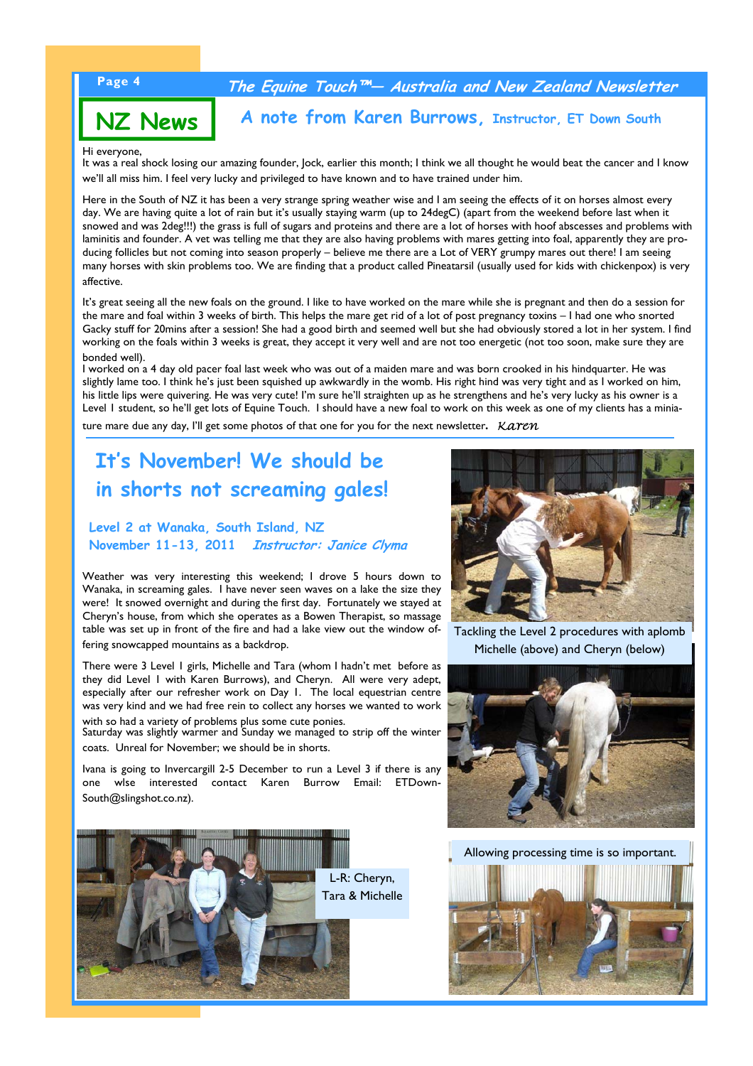### **Page 4 The Equine Touch™— Australia and New Zealand Newsletter**

## **NZ News**

**A note from Karen Burrows, Instructor, ET Down South**

#### Hi everyone,

It was a real shock losing our amazing founder, Jock, earlier this month; I think we all thought he would beat the cancer and I know we'll all miss him. I feel very lucky and privileged to have known and to have trained under him.

Here in the South of NZ it has been a very strange spring weather wise and I am seeing the effects of it on horses almost every day. We are having quite a lot of rain but it's usually staying warm (up to 24degC) (apart from the weekend before last when it snowed and was 2deg!!!) the grass is full of sugars and proteins and there are a lot of horses with hoof abscesses and problems with laminitis and founder. A vet was telling me that they are also having problems with mares getting into foal, apparently they are producing follicles but not coming into season properly – believe me there are a Lot of VERY grumpy mares out there! I am seeing many horses with skin problems too. We are finding that a product called Pineatarsil (usually used for kids with chickenpox) is very affective.

It's great seeing all the new foals on the ground. I like to have worked on the mare while she is pregnant and then do a session for the mare and foal within 3 weeks of birth. This helps the mare get rid of a lot of post pregnancy toxins – I had one who snorted Gacky stuff for 20mins after a session! She had a good birth and seemed well but she had obviously stored a lot in her system. I find working on the foals within 3 weeks is great, they accept it very well and are not too energetic (not too soon, make sure they are bonded well).

I worked on a 4 day old pacer foal last week who was out of a maiden mare and was born crooked in his hindquarter. He was slightly lame too. I think he's just been squished up awkwardly in the womb. His right hind was very tight and as I worked on him, his little lips were quivering. He was very cute! I'm sure he'll straighten up as he strengthens and he's very lucky as his owner is a Level 1 student, so he'll get lots of Equine Touch. I should have a new foal to work on this week as one of my clients has a minia-

ture mare due any day, I'll get some photos of that one for you for the next newsletter. *Karen* 

### **It's November! We should be in shorts not screaming gales!**

#### **Level 2 at Wanaka, South Island, NZ November 11-13, 2011 Instructor: Janice Clyma**

Weather was very interesting this weekend; I drove 5 hours down to Wanaka, in screaming gales. I have never seen waves on a lake the size they were! It snowed overnight and during the first day. Fortunately we stayed at Cheryn's house, from which she operates as a Bowen Therapist, so massage table was set up in front of the fire and had a lake view out the window offering snowcapped mountains as a backdrop.

There were 3 Level 1 girls, Michelle and Tara (whom I hadn't met before as they did Level 1 with Karen Burrows), and Cheryn. All were very adept, especially after our refresher work on Day 1. The local equestrian centre was very kind and we had free rein to collect any horses we wanted to work with so had a variety of problems plus some cute ponies.

Saturday was slightly warmer and Sunday we managed to strip off the winter coats. Unreal for November; we should be in shorts.

Ivana is going to Invercargill 2-5 December to run a Level 3 if there is any one wlse interested contact Karen Burrow Email: ETDown-South@slingshot.co.nz).





Tackling the Level 2 procedures with aplomb Michelle (above) and Cheryn (below)